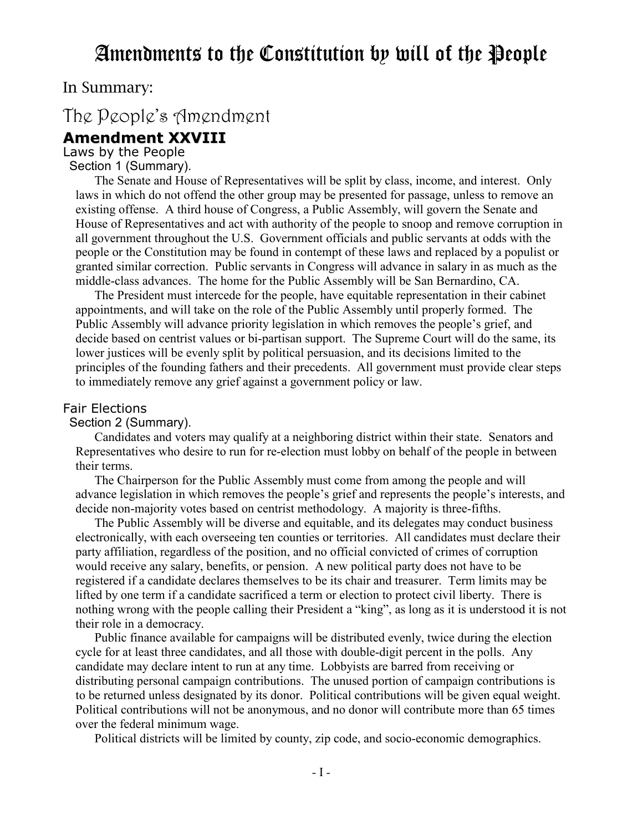## Amendments to the Constitution by will of the People

In Summary:

## The People's Amendment

### **Amendment XXVIII**

Laws by the People

Section 1 (Summary).

 The Senate and House of Representatives will be split by class, income, and interest. Only laws in which do not offend the other group may be presented for passage, unless to remove an existing offense. A third house of Congress, a Public Assembly, will govern the Senate and House of Representatives and act with authority of the people to snoop and remove corruption in all government throughout the U.S. Government officials and public servants at odds with the people or the Constitution may be found in contempt of these laws and replaced by a populist or granted similar correction. Public servants in Congress will advance in salary in as much as the middle-class advances. The home for the Public Assembly will be San Bernardino, CA.

 The President must intercede for the people, have equitable representation in their cabinet appointments, and will take on the role of the Public Assembly until properly formed. The Public Assembly will advance priority legislation in which removes the people's grief, and decide based on centrist values or bi-partisan support. The Supreme Court will do the same, its lower justices will be evenly split by political persuasion, and its decisions limited to the principles of the founding fathers and their precedents. All government must provide clear steps to immediately remove any grief against a government policy or law.

#### Fair Elections

Section 2 (Summary).

 Candidates and voters may qualify at a neighboring district within their state. Senators and Representatives who desire to run for re-election must lobby on behalf of the people in between their terms.

 The Chairperson for the Public Assembly must come from among the people and will advance legislation in which removes the people's grief and represents the people's interests, and decide non-majority votes based on centrist methodology. A majority is three-fifths.

 The Public Assembly will be diverse and equitable, and its delegates may conduct business electronically, with each overseeing ten counties or territories. All candidates must declare their party affiliation, regardless of the position, and no official convicted of crimes of corruption would receive any salary, benefits, or pension. A new political party does not have to be registered if a candidate declares themselves to be its chair and treasurer. Term limits may be lifted by one term if a candidate sacrificed a term or election to protect civil liberty. There is nothing wrong with the people calling their President a "king", as long as it is understood it is not their role in a democracy.

 Public finance available for campaigns will be distributed evenly, twice during the election cycle for at least three candidates, and all those with double-digit percent in the polls. Any candidate may declare intent to run at any time. Lobbyists are barred from receiving or distributing personal campaign contributions. The unused portion of campaign contributions is to be returned unless designated by its donor. Political contributions will be given equal weight. Political contributions will not be anonymous, and no donor will contribute more than 65 times over the federal minimum wage.

Political districts will be limited by county, zip code, and socio-economic demographics.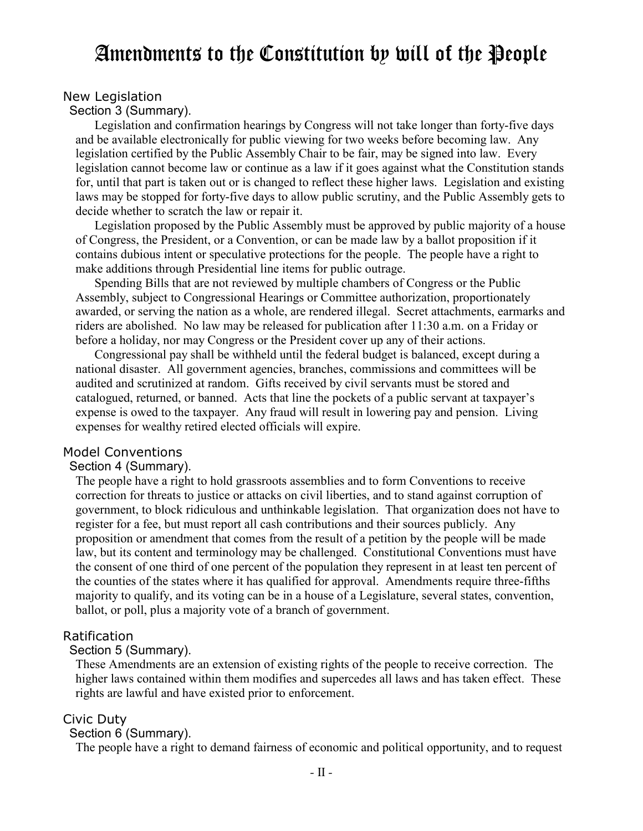# Amendments to the Constitution by will of the People

#### New Legislation

Section 3 (Summary).

 Legislation and confirmation hearings by Congress will not take longer than forty-five days and be available electronically for public viewing for two weeks before becoming law. Any legislation certified by the Public Assembly Chair to be fair, may be signed into law. Every legislation cannot become law or continue as a law if it goes against what the Constitution stands for, until that part is taken out or is changed to reflect these higher laws. Legislation and existing laws may be stopped for forty-five days to allow public scrutiny, and the Public Assembly gets to decide whether to scratch the law or repair it.

 Legislation proposed by the Public Assembly must be approved by public majority of a house of Congress, the President, or a Convention, or can be made law by a ballot proposition if it contains dubious intent or speculative protections for the people. The people have a right to make additions through Presidential line items for public outrage.

 Spending Bills that are not reviewed by multiple chambers of Congress or the Public Assembly, subject to Congressional Hearings or Committee authorization, proportionately awarded, or serving the nation as a whole, are rendered illegal. Secret attachments, earmarks and riders are abolished. No law may be released for publication after 11:30 a.m. on a Friday or before a holiday, nor may Congress or the President cover up any of their actions.

 Congressional pay shall be withheld until the federal budget is balanced, except during a national disaster. All government agencies, branches, commissions and committees will be audited and scrutinized at random. Gifts received by civil servants must be stored and catalogued, returned, or banned. Acts that line the pockets of a public servant at taxpayer's expense is owed to the taxpayer. Any fraud will result in lowering pay and pension. Living expenses for wealthy retired elected officials will expire.

#### Model Conventions

#### Section 4 (Summary).

The people have a right to hold grassroots assemblies and to form Conventions to receive correction for threats to justice or attacks on civil liberties, and to stand against corruption of government, to block ridiculous and unthinkable legislation. That organization does not have to register for a fee, but must report all cash contributions and their sources publicly. Any proposition or amendment that comes from the result of a petition by the people will be made law, but its content and terminology may be challenged. Constitutional Conventions must have the consent of one third of one percent of the population they represent in at least ten percent of the counties of the states where it has qualified for approval. Amendments require three-fifths majority to qualify, and its voting can be in a house of a Legislature, several states, convention, ballot, or poll, plus a majority vote of a branch of government.

#### Ratification

#### Section 5 (Summary).

These Amendments are an extension of existing rights of the people to receive correction. The higher laws contained within them modifies and supercedes all laws and has taken effect. These rights are lawful and have existed prior to enforcement.

#### Civic Duty

#### Section 6 (Summary).

The people have a right to demand fairness of economic and political opportunity, and to request